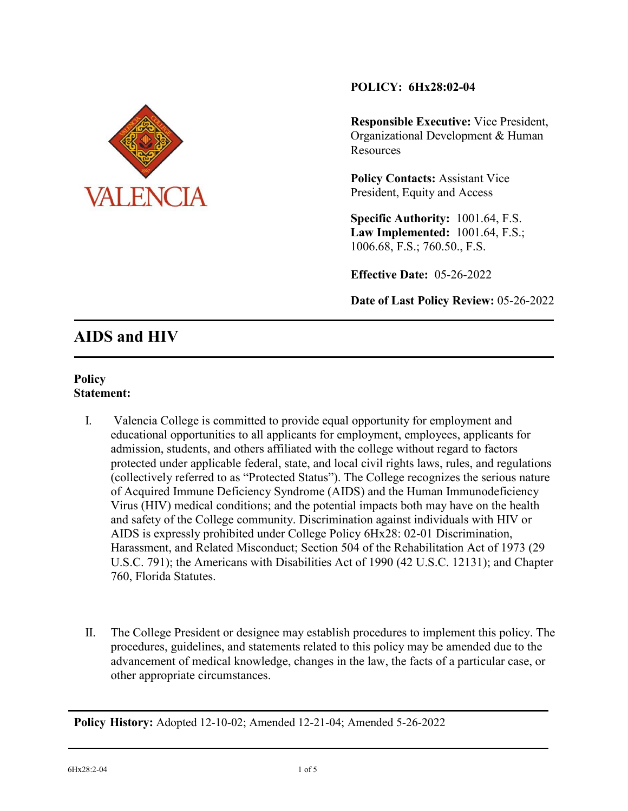

# **POLICY: 6Hx28:02-04**

**Responsible Executive:** Vice President, Organizational Development & Human **Resources** 

**Policy Contacts:** Assistant Vice President, Equity and Access

**Specific Authority:** 1001.64, F.S. **Law Implemented:** 1001.64, F.S.; 1006.68, F.S.; 760.50., F.S.

**Effective Date:** 05-26-2022

**Date of Last Policy Review:** 05-26-2022

# **AIDS and HIV**

## **Policy Statement:**

- I. Valencia College is committed to provide equal opportunity for employment and educational opportunities to all applicants for employment, employees, applicants for admission, students, and others affiliated with the college without regard to factors protected under applicable federal, state, and local civil rights laws, rules, and regulations (collectively referred to as "Protected Status"). The College recognizes the serious nature of Acquired Immune Deficiency Syndrome (AIDS) and the Human Immunodeficiency Virus (HIV) medical conditions; and the potential impacts both may have on the health and safety of the College community. Discrimination against individuals with HIV or AIDS is expressly prohibited under College Policy 6Hx28: 02-01 Discrimination, Harassment, and Related Misconduct; Section 504 of the Rehabilitation Act of 1973 (29 U.S.C. 791); the Americans with Disabilities Act of 1990 (42 U.S.C. 12131); and Chapter 760, Florida Statutes.
- II. The College President or designee may establish procedures to implement this policy. The procedures, guidelines, and statements related to this policy may be amended due to the advancement of medical knowledge, changes in the law, the facts of a particular case, or other appropriate circumstances.

**Policy History:** Adopted 12-10-02; Amended 12-21-04; Amended 5-26-2022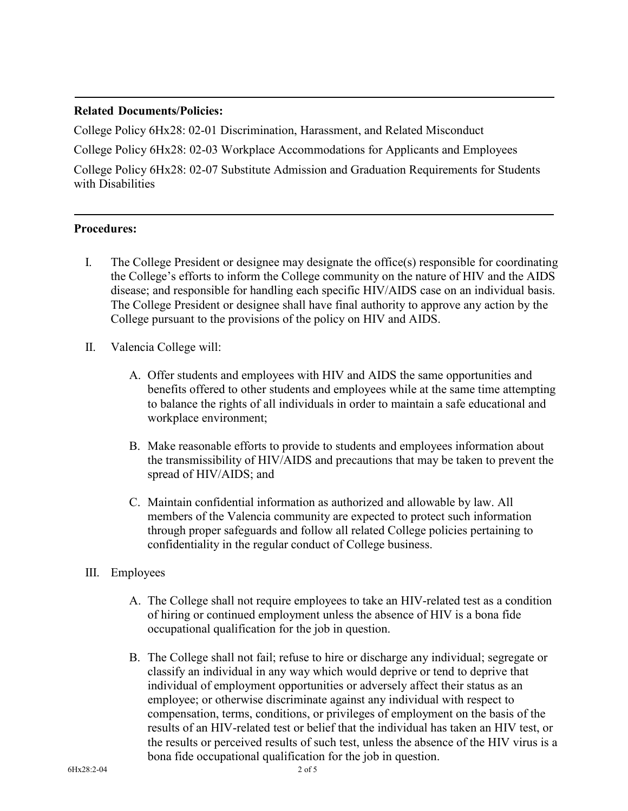## **Related Documents/Policies:**

College Policy 6Hx28: 02-01 Discrimination, Harassment, and Related Misconduct College Policy 6Hx28: 02-03 Workplace Accommodations for Applicants and Employees

College Policy 6Hx28: 02-07 Substitute Admission and Graduation Requirements for Students with Disabilities

#### **Procedures:**

- I. The College President or designee may designate the office(s) responsible for coordinating the College's efforts to inform the College community on the nature of HIV and the AIDS disease; and responsible for handling each specific HIV/AIDS case on an individual basis. The College President or designee shall have final authority to approve any action by the College pursuant to the provisions of the policy on HIV and AIDS.
- II. Valencia College will:
	- A. Offer students and employees with HIV and AIDS the same opportunities and benefits offered to other students and employees while at the same time attempting to balance the rights of all individuals in order to maintain a safe educational and workplace environment;
	- B. Make reasonable efforts to provide to students and employees information about the transmissibility of HIV/AIDS and precautions that may be taken to prevent the spread of HIV/AIDS; and
	- C. Maintain confidential information as authorized and allowable by law. All members of the Valencia community are expected to protect such information through proper safeguards and follow all related College policies pertaining to confidentiality in the regular conduct of College business.
- III. Employees
	- A. The College shall not require employees to take an HIV-related test as a condition of hiring or continued employment unless the absence of HIV is a bona fide occupational qualification for the job in question.
	- B. The College shall not fail; refuse to hire or discharge any individual; segregate or classify an individual in any way which would deprive or tend to deprive that individual of employment opportunities or adversely affect their status as an employee; or otherwise discriminate against any individual with respect to compensation, terms, conditions, or privileges of employment on the basis of the results of an HIV-related test or belief that the individual has taken an HIV test, or the results or perceived results of such test, unless the absence of the HIV virus is a bona fide occupational qualification for the job in question.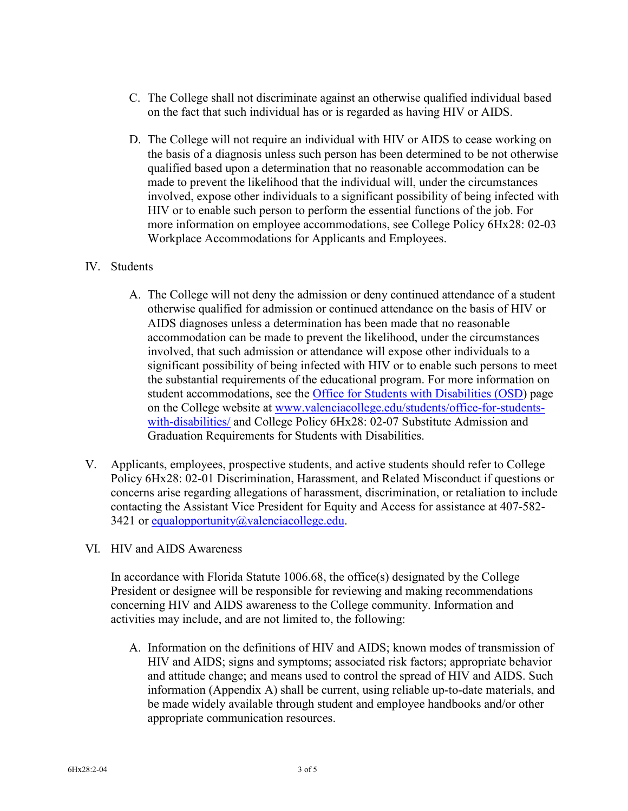- C. The College shall not discriminate against an otherwise qualified individual based on the fact that such individual has or is regarded as having HIV or AIDS.
- D. The College will not require an individual with HIV or AIDS to cease working on the basis of a diagnosis unless such person has been determined to be not otherwise qualified based upon a determination that no reasonable accommodation can be made to prevent the likelihood that the individual will, under the circumstances involved, expose other individuals to a significant possibility of being infected with HIV or to enable such person to perform the essential functions of the job. For more information on employee accommodations, see College Policy 6Hx28: 02-03 Workplace Accommodations for Applicants and Employees.

## IV. Students

- A. The College will not deny the admission or deny continued attendance of a student otherwise qualified for admission or continued attendance on the basis of HIV or AIDS diagnoses unless a determination has been made that no reasonable accommodation can be made to prevent the likelihood, under the circumstances involved, that such admission or attendance will expose other individuals to a significant possibility of being infected with HIV or to enable such persons to meet the substantial requirements of the educational program. For more information on student accommodations, see the [Office for Students with Disabilities \(OSD\)](https://valenciacollege.edu/students/office-for-students-with-disabilities/) page on the College website at [www.valenciacollege.edu/students/office-for-students](http://www.valenciacollege.edu/students/office-for-students-with-disabilities/)[with-disabilities/](http://www.valenciacollege.edu/students/office-for-students-with-disabilities/) and College Policy 6Hx28: 02-07 Substitute Admission and Graduation Requirements for Students with Disabilities.
- V. Applicants, employees, prospective students, and active students should refer to College Policy 6Hx28: 02-01 Discrimination, Harassment, and Related Misconduct if questions or concerns arise regarding allegations of harassment, discrimination, or retaliation to include contacting the Assistant Vice President for Equity and Access for assistance at 407-582 3421 or [equalopportunity@valenciacollege.edu.](mailto:equalopportunity@valenciacollege.edu)
- VI. HIV and AIDS Awareness

In accordance with Florida Statute 1006.68, the office(s) designated by the College President or designee will be responsible for reviewing and making recommendations concerning HIV and AIDS awareness to the College community. Information and activities may include, and are not limited to, the following:

A. Information on the definitions of HIV and AIDS; known modes of transmission of HIV and AIDS; signs and symptoms; associated risk factors; appropriate behavior and attitude change; and means used to control the spread of HIV and AIDS. Such information (Appendix A) shall be current, using reliable up-to-date materials, and be made widely available through student and employee handbooks and/or other appropriate communication resources.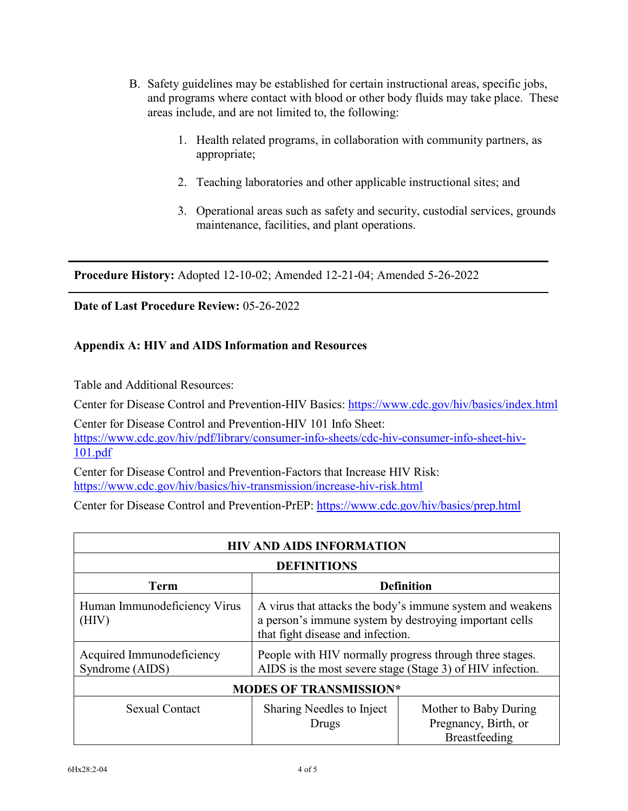- B. Safety guidelines may be established for certain instructional areas, specific jobs, and programs where contact with blood or other body fluids may take place. These areas include, and are not limited to, the following:
	- 1. Health related programs, in collaboration with community partners, as appropriate;
	- 2. Teaching laboratories and other applicable instructional sites; and
	- 3. Operational areas such as safety and security, custodial services, grounds maintenance, facilities, and plant operations.

**Procedure History:** Adopted 12-10-02; Amended 12-21-04; Amended 5-26-2022

**Date of Last Procedure Review:** 05-26-2022

## **Appendix A: HIV and AIDS Information and Resources**

Table and Additional Resources:

Center for Disease Control and Prevention-HIV Basics:<https://www.cdc.gov/hiv/basics/index.html>

Center for Disease Control and Prevention-HIV 101 Info Sheet: [https://www.cdc.gov/hiv/pdf/library/consumer-info-sheets/cdc-hiv-consumer-info-sheet-hiv-](https://www.cdc.gov/hiv/pdf/library/consumer-info-sheets/cdc-hiv-consumer-info-sheet-hiv-101.pdf)[101.pdf](https://www.cdc.gov/hiv/pdf/library/consumer-info-sheets/cdc-hiv-consumer-info-sheet-hiv-101.pdf)

Center for Disease Control and Prevention-Factors that Increase HIV Risk: <https://www.cdc.gov/hiv/basics/hiv-transmission/increase-hiv-risk.html>

Center for Disease Control and Prevention-PrEP:<https://www.cdc.gov/hiv/basics/prep.html>

| <b>HIV AND AIDS INFORMATION</b>              |                                                                                                                                                          |                                                                |  |  |  |
|----------------------------------------------|----------------------------------------------------------------------------------------------------------------------------------------------------------|----------------------------------------------------------------|--|--|--|
| <b>DEFINITIONS</b>                           |                                                                                                                                                          |                                                                |  |  |  |
| <b>Term</b>                                  | <b>Definition</b>                                                                                                                                        |                                                                |  |  |  |
| Human Immunodeficiency Virus<br>(HIV)        | A virus that attacks the body's immune system and weakens<br>a person's immune system by destroying important cells<br>that fight disease and infection. |                                                                |  |  |  |
| Acquired Immunodeficiency<br>Syndrome (AIDS) | People with HIV normally progress through three stages.<br>AIDS is the most severe stage (Stage 3) of HIV infection.                                     |                                                                |  |  |  |
| <b>MODES OF TRANSMISSION*</b>                |                                                                                                                                                          |                                                                |  |  |  |
| Sexual Contact                               | Sharing Needles to Inject<br>Drugs                                                                                                                       | Mother to Baby During<br>Pregnancy, Birth, or<br>Breastfeeding |  |  |  |